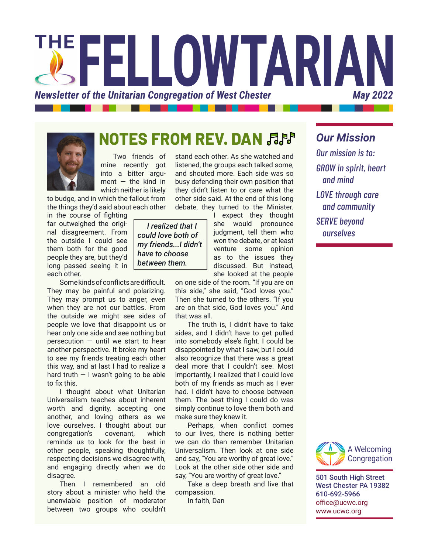

# **NOTES FROM REV. DAN**

Two friends of mine recently got into a bitter argument  $-$  the kind in which neither is likely

to budge, and in which the fallout from the things they'd said about each other

in the course of fighting far outweighed the original disagreement. From the outside I could see them both for the good people they are, but they'd long passed seeing it in each other.

Some kinds of conflicts are difficult. They may be painful and polarizing. They may prompt us to anger, even when they are not our battles. From the outside we might see sides of people we love that disappoint us or hear only one side and see nothing but persecution — until we start to hear another perspective. It broke my heart to see my friends treating each other this way, and at last I had to realize a hard truth  $-1$  wasn't going to be able to fix this.

I thought about what Unitarian Universalism teaches about inherent worth and dignity, accepting one another, and loving others as we love ourselves. I thought about our congregation's covenant, which reminds us to look for the best in other people, speaking thoughtfully, respecting decisions we disagree with, and engaging directly when we do disagree.

Then I remembered an old story about a minister who held the unenviable position of moderator between two groups who couldn't

stand each other. As she watched and listened, the groups each talked some, and shouted more. Each side was so busy defending their own position that they didn't listen to or care what the other side said. At the end of this long debate, they turned to the Minister.

 *I realized that I could love both of my friends...I didn't have to choose between them.*

I expect they thought she would pronounce judgment, tell them who won the debate, or at least venture some opinion as to the issues they discussed. But instead, she looked at the people

on one side of the room. "If you are on this side," she said, "God loves you." Then she turned to the others. "If you are on that side, God loves you." And that was all.

The truth is, I didn't have to take sides, and I didn't have to get pulled into somebody else's fight. I could be disappointed by what I saw, but I could also recognize that there was a great deal more that I couldn't see. Most importantly, I realized that I could love both of my friends as much as I ever had. I didn't have to choose between them. The best thing I could do was simply continue to love them both and make sure they knew it.

Perhaps, when conflict comes to our lives, there is nothing better we can do than remember Unitarian Universalism. Then look at one side and say, "You are worthy of great love." Look at the other side other side and say, "You are worthy of great love."

Take a deep breath and live that compassion.

In faith, Dan

*Our mission is to: GROW in spirit, heart and mind LOVE through care and community SERVE beyond ourselves*

*Our Mission*



501 South High Street West Chester PA 19382 610-692-5966 [office@ucwc.org](mailto:office%40ucwc.org?subject=) [www.ucwc.org](http://www.ucwc.org)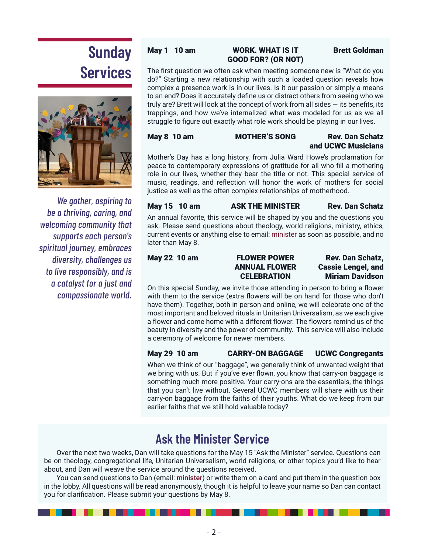# **Sunday Services**



*We gather, aspiring to be a thriving, caring, and welcoming community that supports each person's spiritual journey, embraces diversity, challenges us to live responsibly, and is a catalyst for a just and compassionate world.*

### May 1 10 am WORK. WHAT IS IT Brett Goldman GOOD FOR? (OR NOT)

The first question we often ask when meeting someone new is "What do you do?" Starting a new relationship with such a loaded question reveals how complex a presence work is in our lives. Is it our passion or simply a means to an end? Does it accurately define us or distract others from seeing who we truly are? Brett will look at the concept of work from all sides — its benefits, its trappings, and how we've internalized what was modeled for us as we all struggle to figure out exactly what role work should be playing in our lives.

May 8 10 am MOTHER'S SONG Rev. Dan Schatz

# and UCWC Musicians

Mother's Day has a long history, from Julia Ward Howe's proclamation for peace to contemporary expressions of gratitude for all who fill a mothering role in our lives, whether they bear the title or not. This special service of music, readings, and reflection will honor the work of mothers for social justice as well as the often complex relationships of motherhood.

#### May 15 10 am ASK THE MINISTER Rev. Dan Schatz

An annual favorite, this service will be shaped by you and the questions you ask. Please send questions about theology, world religions, ministry, ethics, current events or anything else to email: [minister](mailto:minister@ucwc.org?subject=Ask%20the%20Minister%20Service) as soon as possible, and no later than May 8.

May 22 10 am FLOWER POWER Rev. Dan Schatz, ANNUAL FLOWER Cassie Lengel, and CELEBRATION Miriam Davidson

On this special Sunday, we invite those attending in person to bring a flower with them to the service (extra flowers will be on hand for those who don't have them). Together, both in person and online, we will celebrate one of the most important and beloved rituals in Unitarian Universalism, as we each give a flower and come home with a different flower. The flowers remind us of the beauty in diversity and the power of community. This service will also include a ceremony of welcome for newer members.

### May 29 10 am CARRY-ON BAGGAGE UCWC Congregants

When we think of our "baggage", we generally think of unwanted weight that we bring with us. But if you've ever flown, you know that carry-on baggage is something much more positive. Your carry-ons are the essentials, the things that you can't live without. Several UCWC members will share with us their carry-on baggage from the faiths of their youths. What do we keep from our earlier faiths that we still hold valuable today?

# **Ask the Minister Service**

Over the next two weeks, Dan will take questions for the May 15 "Ask the Minister" service. Questions can be on theology, congregational life, Unitarian Universalism, world religions, or other topics you'd like to hear about, and Dan will weave the service around the questions received.

You can send questions to Dan (email: [minister](mailto:minister@ucwc.org?subject=Ask%20the%20Minister)) or write them on a card and put them in the question box in the lobby. All questions will be read anonymously, though it is helpful to leave your name so Dan can contact you for clarification. Please submit your questions by May 8.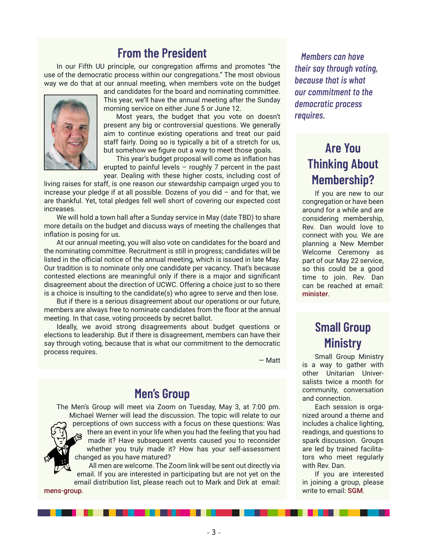## **From the President**

In our Fifth UU principle, our congregation affirms and promotes "the use of the democratic process within our congregations." The most obvious way we do that at our annual meeting, when members vote on the budget



and candidates for the board and nominating committee. This year, we'll have the annual meeting after the Sunday morning service on either June 5 or June 12.

Most years, the budget that you vote on doesn't present any big or controversial questions. We generally aim to continue existing operations and treat our paid staff fairly. Doing so is typically a bit of a stretch for us, but somehow we figure out a way to meet those goals.

This year's budget proposal will come as inflation has erupted to painful levels – roughly 7 percent in the past year. Dealing with these higher costs, including cost of

living raises for staff, is one reason our stewardship campaign urged you to increase your pledge if at all possible. Dozens of you did – and for that, we are thankful. Yet, total pledges fell well short of covering our expected cost increases.

We will hold a town hall after a Sunday service in May (date TBD) to share more details on the budget and discuss ways of meeting the challenges that inflation is posing for us.

At our annual meeting, you will also vote on candidates for the board and the nominating committee. Recruitment is still in progress; candidates will be listed in the official notice of the annual meeting, which is issued in late May. Our tradition is to nominate only one candidate per vacancy. That's because contested elections are meaningful only if there is a major and significant disagreement about the direction of UCWC. Offering a choice just to so there is a choice is insulting to the candidate(s) who agree to serve and then lose.

But if there is a serious disagreement about our operations or our future, members are always free to nominate candidates from the floor at the annual meeting. In that case, voting proceeds by secret ballot.

Ideally, we avoid strong disagreements about budget questions or elections to leadership. But if there is disagreement, members can have their say through voting, because that is what our commitment to the democratic process requires.

— Matt

### **Men's Group**

The Men's Group will meet via Zoom on Tuesday, May 3, at 7:00 pm. Michael Werner will lead the discussion. The topic will relate to our perceptions of own success with a focus on these questions: Was there an event in your life when you had the feeling that you had made it? Have subsequent events caused you to reconsider whether you truly made it? How has your self-assessment changed as you have matured?

All men are welcome. The Zoom link will be sent out directly via email. If you are interested in participating but are not yet on the email distribution list, please reach out to Mark and Dirk at email: [mens-group](mailto:mens-group@ucwc.org?subject=UCWC%20Men).

- 3 -

*Members can have their say through voting, because that is what our commitment to the democratic process requires.*

# **Are You Thinking About Membership?**

If you are new to our congregation or have been around for a while and are considering membership, Rev. Dan would love to connect with you. We are planning a New Member Welcome Ceremony as part of our May 22 service, so this could be a good time to join. Rev. Dan can be reached at email: [minister](mailto:minister@ucwc.org?subject=Membership%20in%20UCWC).

# **Small Group Ministry**

Small Group Ministry is a way to gather with other Unitarian Universalists twice a month for community, conversation and connection.

Each session is organized around a theme and includes a chalice lighting, readings, and questions to spark discussion. Groups are led by trained facilitators who meet regularly with Rev. Dan.

If you are interested in joining a group, please write to email: [SGM](mailto:sgm@ucwc.org?subject=UCWC%20Small%20Group%20Ministry).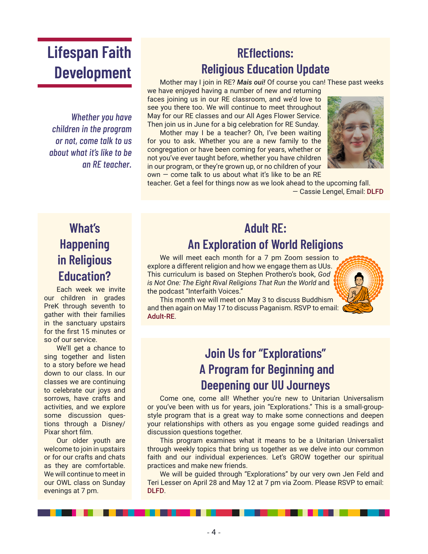# **Lifespan Faith Development**

*Whether you have children in the program or not, come talk to us about what it's like to be an RE teacher.*

# **REflections: Religious Education Update**

Mother may I join in RE? *Mais oui!* Of course you can! These past weeks

we have enjoyed having a number of new and returning faces joining us in our RE classroom, and we'd love to see you there too. We will continue to meet throughout May for our RE classes and our All Ages Flower Service. Then join us in June for a big celebration for RE Sunday.

Mother may I be a teacher? Oh, I've been waiting for you to ask. Whether you are a new family to the congregation or have been coming for years, whether or not you've ever taught before, whether you have children in our program, or they're grown up, or no children of your  $own - come$  talk to us about what it's like to be an RE



teacher. Get a feel for things now as we look ahead to the upcoming fall. — Cassie Lengel, Email: [DLFD](mailto:DLFD@ucwc.org)

# **What's Happening in Religious Education?**

Each week we invite our children in grades PreK through seventh to gather with their families in the sanctuary upstairs for the first 15 minutes or so of our service.

We'll get a chance to sing together and listen to a story before we head down to our class. In our classes we are continuing to celebrate our joys and sorrows, have crafts and activities, and we explore some discussion questions through a Disney/ Pixar short film.

Our older youth are welcome to join in upstairs or for our crafts and chats as they are comfortable. We will continue to meet in our OWL class on Sunday evenings at 7 pm.

# **Adult RE: An Exploration of World Religions**

We will meet each month for a 7 pm Zoom session to explore a different religion and how we engage them as UUs. This curriculum is based on Stephen Prothero's book, *God is Not One: The Eight Rival Religions That Run the World* and the podcast "Interfaith Voices."

This month we will meet on May 3 to discuss Buddhism and then again on May 17 to discuss Paganism. RSVP to email: [Adult-RE](mailto:Adult-RE@ucwc.org?subject=Adult%20RE%20World%20Religions).

# **Join Us for "Explorations" A Program for Beginning and Deepening our UU Journeys**

Come one, come all! Whether you're new to Unitarian Universalism or you've been with us for years, join "Explorations." This is a small-groupstyle program that is a great way to make some connections and deepen your relationships with others as you engage some guided readings and discussion questions together.

This program examines what it means to be a Unitarian Universalist through weekly topics that bring us together as we delve into our common faith and our individual experiences. Let's GROW together our spiritual practices and make new friends.

We will be guided through "Explorations" by our very own Jen Feld and Teri Lesser on April 28 and May 12 at 7 pm via Zoom. Please RSVP to email: [DLFD](mailto:DLFD@ucwc.org?subject=Explorations).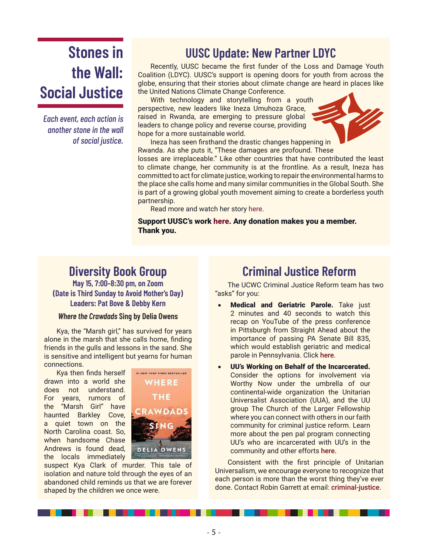# **Stones in the Wall: Social Justice**

*Each event, each action is another stone in the wall of social justice.*

# **UUSC Update: New Partner LDYC**

Recently, UUSC became the first funder of the Loss and Damage Youth Coalition (LDYC). UUSC's support is opening doors for youth from across the globe, ensuring that their stories about climate change are heard in places like the United Nations Climate Change Conference.

With technology and storytelling from a youth perspective, new leaders like Ineza Umuhoza Grace, raised in Rwanda, are emerging to pressure global leaders to change policy and reverse course, providing hope for a more sustainable world.



Ineza has seen firsthand the drastic changes happening in Rwanda. As she puts it, "These damages are profound. These

losses are irreplaceable." Like other countries that have contributed the least to climate change, her community is at the frontline. As a result, Ineza has committed to act for climate justice, working to repair the environmental harms to the place she calls home and many similar communities in the Global South. She is part of a growing global youth movement aiming to create a borderless youth partnership.

Read more and watch her story [here](https://www.uusc.org/youth-movement-building-for-action-on-climate-justice/).

Support UUSC's work [here.](https://donate.uusc.org/give/188649/#!/donation/checkout?utm_source=topnav&utm_medium=website&utm_campaign=website) Any donation makes you a member. Thank you.

## **Diversity Book Group**

**May 15, 7:00–8:30 pm, on Zoom (Date is Third Sunday to Avoid Mother's Day) Leaders: Pat Bove & Debby Kern** 

#### *Where the Crawdads* **Sing by Delia Owens**

Kya, the "Marsh girl," has survived for years alone in the marsh that she calls home, finding friends in the gulls and lessons in the sand. She is sensitive and intelligent but yearns for human connections.

Kya then finds herself drawn into a world she does not understand. For years, rumors of the "Marsh Girl" have haunted Barkley Cove, a quiet town on the North Carolina coast. So, when handsome Chase Andrews is found dead, the locals immediately



suspect Kya Clark of murder. This tale of isolation and nature told through the eyes of an abandoned child reminds us that we are forever shaped by the children we once were.

## **Criminal Justice Reform**

The UCWC Criminal Justice Reform team has two "asks" for you:

- **Medical and Geriatric Parole.** Take just 2 minutes and 40 seconds to watch this recap on YouTube of the press conference in Pittsburgh from Straight Ahead about the importance of passing PA Senate Bill 835, which would establish geriatric and medical parole in Pennsylvania. Click [here](https://www.youtube.com/watch?v=JMJiS6s8z_o).
- UU's Working on Behalf of the Incarcerated. Consider the options for involvement via Worthy Now under the umbrella of our continental-wide organization the Unitarian Universalist Association (UUA), and the UU group The Church of the Larger Fellowship where you can connect with others in our faith community for criminal justice reform. Learn more about the pen pal program connecting UU's who are incarcerated with UU's in the community and other efforts [here.](https://worthynow.org/)

Consistent with the first principle of Unitarian Universalism, we encourage everyone to recognize that each person is more than the worst thing they've ever done. Contact Robin Garrett at email: [criminal-justice](mailto:criminal-justice@ucwc.org).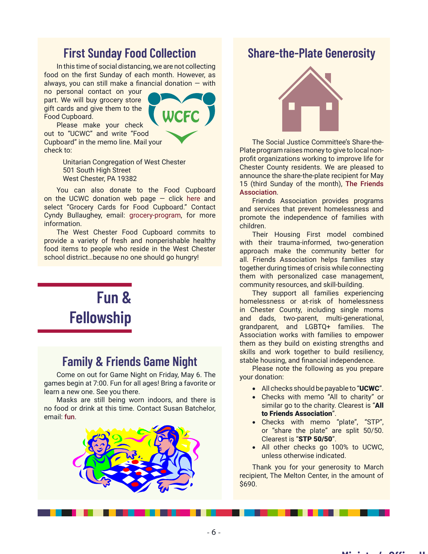## **First Sunday Food Collection**

In this time of social distancing, we are not collecting food on the first Sunday of each month. However, as always, you can still make a financial donation  $-$  with

no personal contact on your part. We will buy grocery store gift cards and give them to the Food Cupboard. Please make your check



out to "UCWC" and write "Food Cupboard" in the memo line. Mail your check to:

> Unitarian Congregation of West Chester 501 South High Street West Chester, PA 19382

You can also donate to the Food Cupboard on the UCWC donation web page  $-$  click [here](https://www.eservicepayments.com/cgi-bin/Vanco_ver3.vps?appver3=Fi1giPL8kwX_Oe1AO50jRj0MjRUQxia6cKrDTyyikzpUURu6t8jlt9eqL6q2Eewtk0PpduXvnt8gXUeZjQYbn0oiToseO_A9YCqwPg3oX8Y=) and select "Grocery Cards for Food Cupboard." Contact Cyndy Bullaughey, email: [grocery-program,](mailto:grocery-program@ucwc.org?subject=UCWC%20Grocery%20Cards%20for%20the%20Food%20Cupboard) for more information.

The West Chester Food Cupboard commits to provide a variety of fresh and nonperishable healthy food items to people who reside in the West Chester school district…because no one should go hungry!

# **Fun & Fellowship**

### **Family & Friends Game Night**

Come on out for Game Night on Friday, May 6. The games begin at 7:00. Fun for all ages! Bring a favorite or learn a new one. See you there.

Masks are still being worn indoors, and there is no food or drink at this time. Contact Susan Batchelor, email: [fun](mailto:fun@ucwc.org?subject=UCWC%20Game%20Night).



### **Share-the-Plate Generosity**



The Social Justice Committee's Share-the-Plate program raises money to give to local nonprofit organizations working to improve life for Chester County residents. We are pleased to announce the share-the-plate recipient for May 15 (third Sunday of the month), [The Friends](https://friendsassoc.org/)  [Association](https://friendsassoc.org/).

Friends Association provides programs and services that prevent homelessness and promote the independence of families with children.

Their Housing First model combined with their trauma-informed, two-generation approach make the community better for all. Friends Association helps families stay together during times of crisis while connecting them with personalized case management, community resources, and skill-building.

They support all families experiencing homelessness or at-risk of homelessness in Chester County, including single moms and dads, two-parent, multi-generational, grandparent, and LGBTQ+ families. The Association works with families to empower them as they build on existing strengths and skills and work together to build resiliency, stable housing, and financial independence.

Please note the following as you prepare your donation:

- All checks should be payable to "UCWC".
- • Checks with memo "All to charity" or similar go to the charity. Clearest is "All to Friends Association".
- • Checks with memo "plate", "STP", or "share the plate" are split 50/50. Clearest is "STP 50/50".
- All other checks go 100% to UCWC, unless otherwise indicated.

**Minister's Office Hours**

Thank you for your generosity to March recipient, The Melton Center, in the amount of \$690.